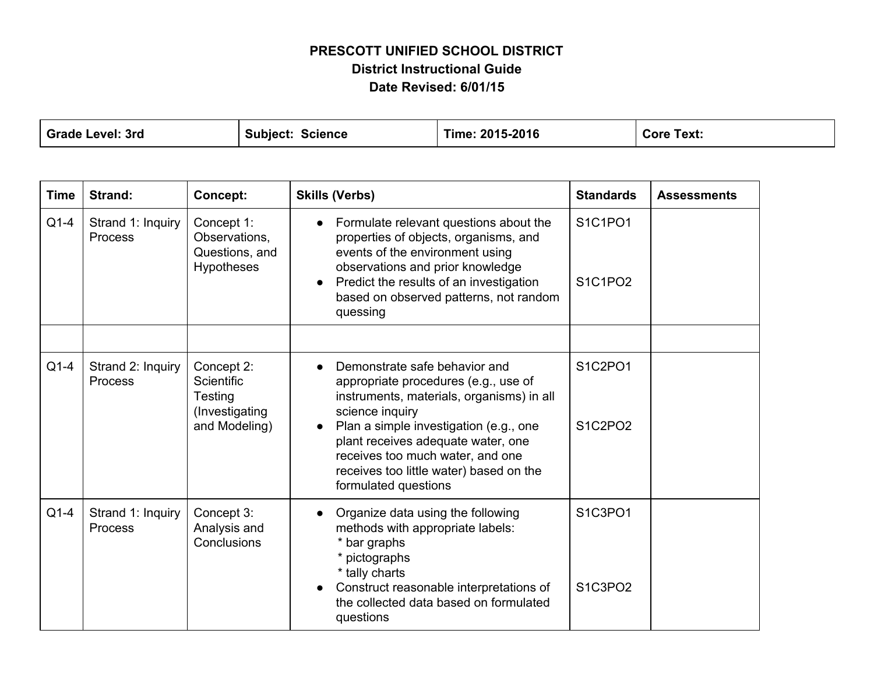## **PRESCOTT UNIFIED SCHOOL DISTRICT District Instructional Guide Date Revised: 6/01/15**

| <b>Grade Level: 3rd</b> | Subject:<br>Science | Time: 2015-2016 | Text:<br>Core |
|-------------------------|---------------------|-----------------|---------------|
|                         |                     |                 |               |

| <b>Time</b> | Strand:                             | <b>Concept:</b>                                                        | <b>Skills (Verbs)</b>                                                                                                                                                                                                                                                                                                                     | <b>Standards</b>   | <b>Assessments</b> |
|-------------|-------------------------------------|------------------------------------------------------------------------|-------------------------------------------------------------------------------------------------------------------------------------------------------------------------------------------------------------------------------------------------------------------------------------------------------------------------------------------|--------------------|--------------------|
| $Q1-4$      | Strand 1: Inquiry<br>Process        | Concept 1:<br>Observations,<br>Questions, and<br><b>Hypotheses</b>     | Formulate relevant questions about the<br>$\bullet$<br>properties of objects, organisms, and<br>events of the environment using<br>observations and prior knowledge<br>Predict the results of an investigation<br>$\bullet$<br>based on observed patterns, not random<br>quessing                                                         | S1C1PO1<br>S1C1PO2 |                    |
|             |                                     |                                                                        |                                                                                                                                                                                                                                                                                                                                           |                    |                    |
| $Q1-4$      | Strand 2: Inquiry<br>Process        | Concept 2:<br>Scientific<br>Testing<br>(Investigating<br>and Modeling) | Demonstrate safe behavior and<br>appropriate procedures (e.g., use of<br>instruments, materials, organisms) in all<br>science inquiry<br>Plan a simple investigation (e.g., one<br>$\bullet$<br>plant receives adequate water, one<br>receives too much water, and one<br>receives too little water) based on the<br>formulated questions | S1C2PO1<br>S1C2PO2 |                    |
| $Q1-4$      | Strand 1: Inquiry<br><b>Process</b> | Concept 3:<br>Analysis and<br>Conclusions                              | Organize data using the following<br>methods with appropriate labels:<br>* bar graphs<br>* pictographs<br>* tally charts<br>Construct reasonable interpretations of<br>the collected data based on formulated<br>questions                                                                                                                | S1C3PO1<br>S1C3PO2 |                    |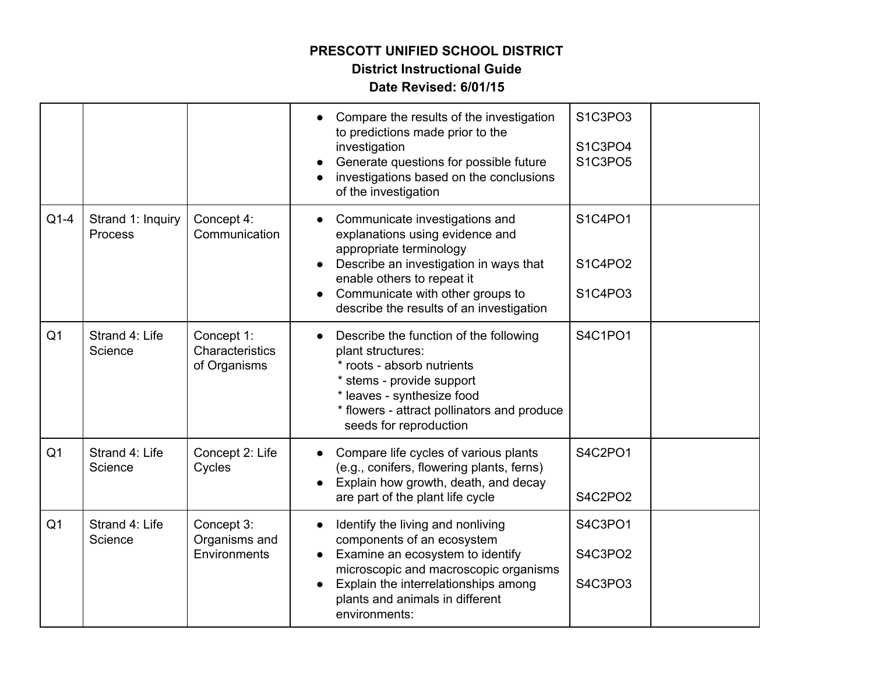# **PRESCOTT UNIFIED SCHOOL DISTRICT**

## **District Instructional Guide**

## **Date Revised: 6/01/15**

|                |                                     |                                               | Compare the results of the investigation<br>to predictions made prior to the<br>investigation<br>Generate questions for possible future<br>investigations based on the conclusions<br>of the investigation                               | S1C3PO3<br>S1C3PO4<br>S1C3PO5 |  |
|----------------|-------------------------------------|-----------------------------------------------|------------------------------------------------------------------------------------------------------------------------------------------------------------------------------------------------------------------------------------------|-------------------------------|--|
| $Q1-4$         | Strand 1: Inquiry<br><b>Process</b> | Concept 4:<br>Communication                   | Communicate investigations and<br>explanations using evidence and<br>appropriate terminology<br>Describe an investigation in ways that<br>enable others to repeat it                                                                     | S1C4PO1<br>S1C4PO2            |  |
|                |                                     |                                               | Communicate with other groups to<br>describe the results of an investigation                                                                                                                                                             | S1C4PO3                       |  |
| Q <sub>1</sub> | Strand 4: Life<br>Science           | Concept 1:<br>Characteristics<br>of Organisms | Describe the function of the following<br>plant structures:<br>* roots - absorb nutrients<br>* stems - provide support<br>* leaves - synthesize food<br>* flowers - attract pollinators and produce<br>seeds for reproduction            | S4C1PO1                       |  |
| Q <sub>1</sub> | Strand 4: Life<br>Science           | Concept 2: Life<br>Cycles                     | Compare life cycles of various plants<br>(e.g., conifers, flowering plants, ferns)<br>Explain how growth, death, and decay<br>are part of the plant life cycle                                                                           | S4C2PO1<br>S4C2PO2            |  |
| Q <sub>1</sub> | Strand 4: Life<br>Science           | Concept 3:<br>Organisms and<br>Environments   | Identify the living and nonliving<br>components of an ecosystem<br>Examine an ecosystem to identify<br>microscopic and macroscopic organisms<br>Explain the interrelationships among<br>plants and animals in different<br>environments: | S4C3PO1<br>S4C3PO2<br>S4C3PO3 |  |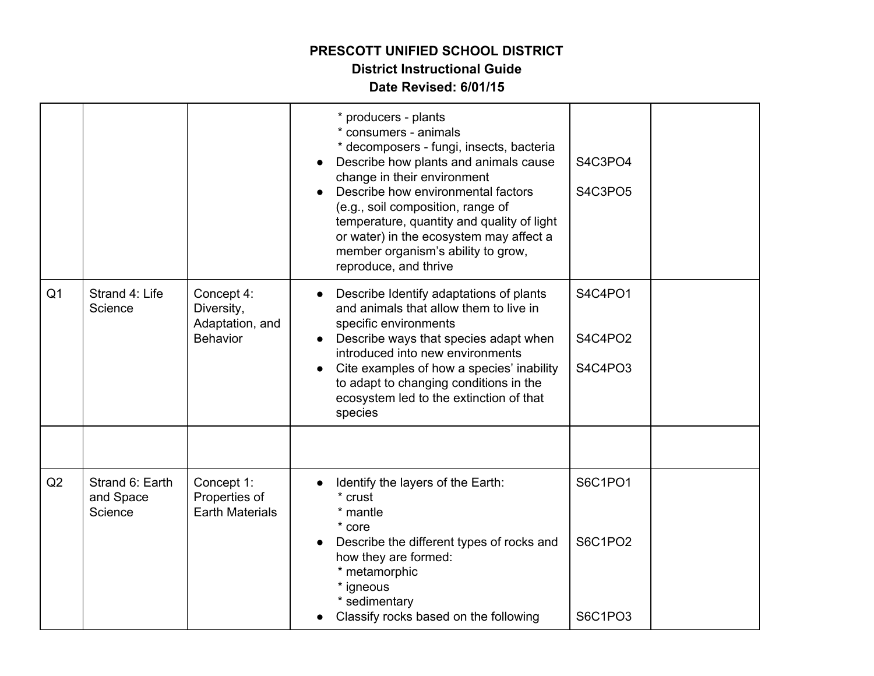## **PRESCOTT UNIFIED SCHOOL DISTRICT District Instructional Guide**

#### **Date Revised: 6/01/15**

|                |                                         |                                                                | * producers - plants<br>* consumers - animals<br>* decomposers - fungi, insects, bacteria<br>Describe how plants and animals cause<br>change in their environment<br>Describe how environmental factors<br>(e.g., soil composition, range of<br>temperature, quantity and quality of light<br>or water) in the ecosystem may affect a<br>member organism's ability to grow,<br>reproduce, and thrive | S4C3PO4<br>S4C3PO5            |  |
|----------------|-----------------------------------------|----------------------------------------------------------------|------------------------------------------------------------------------------------------------------------------------------------------------------------------------------------------------------------------------------------------------------------------------------------------------------------------------------------------------------------------------------------------------------|-------------------------------|--|
| Q <sub>1</sub> | Strand 4: Life<br>Science               | Concept 4:<br>Diversity,<br>Adaptation, and<br><b>Behavior</b> | Describe Identify adaptations of plants<br>and animals that allow them to live in<br>specific environments<br>Describe ways that species adapt when<br>introduced into new environments<br>Cite examples of how a species' inability<br>to adapt to changing conditions in the<br>ecosystem led to the extinction of that<br>species                                                                 | S4C4PO1<br>S4C4PO2<br>S4C4PO3 |  |
|                |                                         |                                                                |                                                                                                                                                                                                                                                                                                                                                                                                      |                               |  |
| Q2             | Strand 6: Earth<br>and Space<br>Science | Concept 1:<br>Properties of<br><b>Earth Materials</b>          | Identify the layers of the Earth:<br>* crust<br>* mantle<br>* core                                                                                                                                                                                                                                                                                                                                   | <b>S6C1PO1</b>                |  |
|                |                                         |                                                                | Describe the different types of rocks and<br>how they are formed:<br>* metamorphic<br>* igneous<br>* sedimentary                                                                                                                                                                                                                                                                                     | S6C1PO2                       |  |
|                |                                         |                                                                | Classify rocks based on the following                                                                                                                                                                                                                                                                                                                                                                | S6C1PO3                       |  |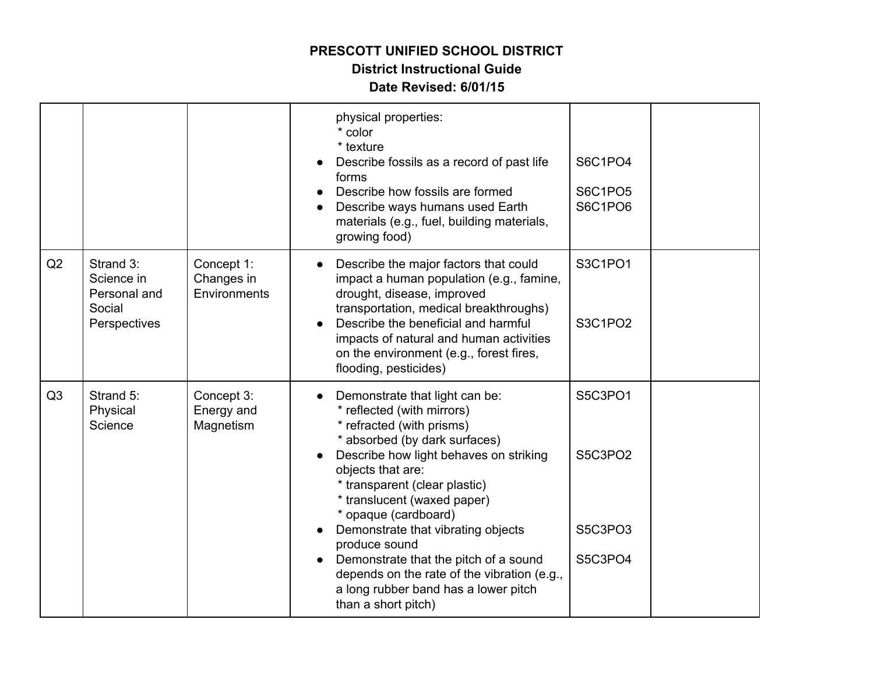## **PRESCOTT UNIFIED SCHOOL DISTRICT**

#### **District Instructional Guide**

#### **Date Revised: 6/01/15**

|                |                                                                   |                                          | physical properties:<br>* color<br>* texture<br>Describe fossils as a record of past life<br>forms<br>Describe how fossils are formed<br>Describe ways humans used Earth<br>materials (e.g., fuel, building materials,<br>growing food)                                                                         | S6C1PO4<br>S6C1PO5<br>S6C1PO6 |  |
|----------------|-------------------------------------------------------------------|------------------------------------------|-----------------------------------------------------------------------------------------------------------------------------------------------------------------------------------------------------------------------------------------------------------------------------------------------------------------|-------------------------------|--|
| Q2             | Strand 3:<br>Science in<br>Personal and<br>Social<br>Perspectives | Concept 1:<br>Changes in<br>Environments | Describe the major factors that could<br>impact a human population (e.g., famine,<br>drought, disease, improved<br>transportation, medical breakthroughs)<br>Describe the beneficial and harmful<br>impacts of natural and human activities<br>on the environment (e.g., forest fires,<br>flooding, pesticides) | S3C1PO1<br>S3C1PO2            |  |
| Q <sub>3</sub> | Strand 5:<br>Physical<br>Science                                  | Concept 3:<br>Energy and<br>Magnetism    | Demonstrate that light can be:<br>* reflected (with mirrors)<br>* refracted (with prisms)<br>* absorbed (by dark surfaces)<br>Describe how light behaves on striking<br>objects that are:<br>* transparent (clear plastic)<br>* translucent (waxed paper)<br>* opaque (cardboard)                               | S5C3PO1<br>S5C3PO2            |  |
|                |                                                                   |                                          | Demonstrate that vibrating objects<br>produce sound<br>Demonstrate that the pitch of a sound<br>depends on the rate of the vibration (e.g.,<br>a long rubber band has a lower pitch<br>than a short pitch)                                                                                                      | S5C3PO3<br>S5C3PO4            |  |